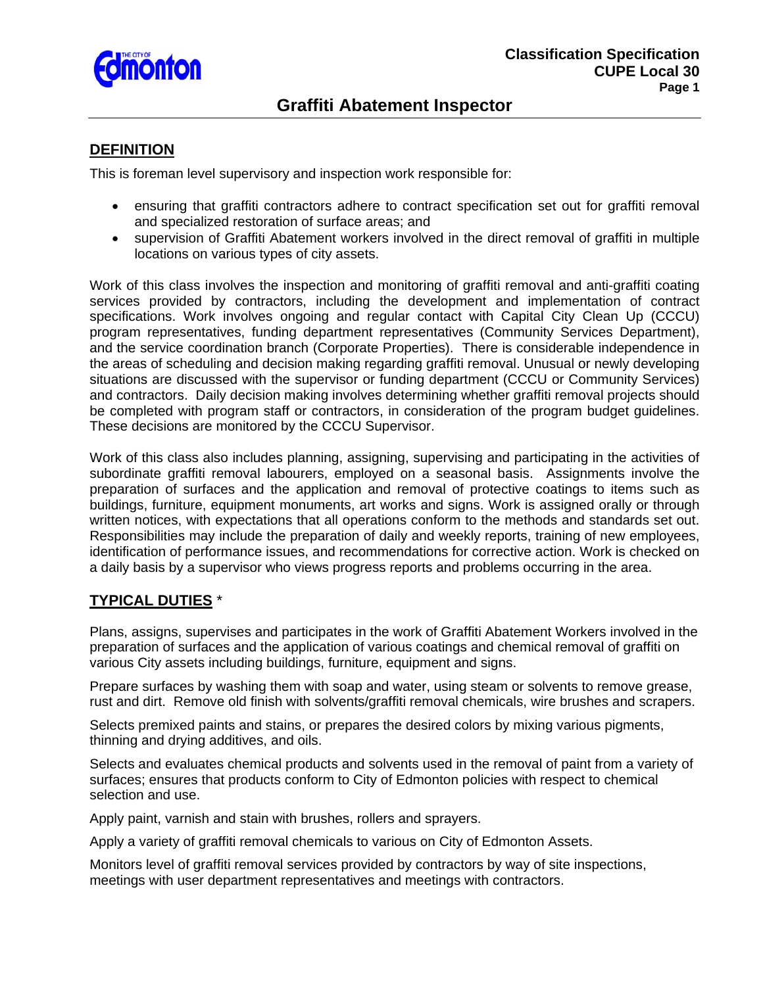

# **Graffiti Abatement Inspector**

#### **DEFINITION**

This is foreman level supervisory and inspection work responsible for:

- ensuring that graffiti contractors adhere to contract specification set out for graffiti removal and specialized restoration of surface areas; and
- supervision of Graffiti Abatement workers involved in the direct removal of graffiti in multiple locations on various types of city assets.

Work of this class involves the inspection and monitoring of graffiti removal and anti-graffiti coating services provided by contractors, including the development and implementation of contract specifications. Work involves ongoing and regular contact with Capital City Clean Up (CCCU) program representatives, funding department representatives (Community Services Department), and the service coordination branch (Corporate Properties). There is considerable independence in the areas of scheduling and decision making regarding graffiti removal. Unusual or newly developing situations are discussed with the supervisor or funding department (CCCU or Community Services) and contractors. Daily decision making involves determining whether graffiti removal projects should be completed with program staff or contractors, in consideration of the program budget guidelines. These decisions are monitored by the CCCU Supervisor.

Work of this class also includes planning, assigning, supervising and participating in the activities of subordinate graffiti removal labourers, employed on a seasonal basis. Assignments involve the preparation of surfaces and the application and removal of protective coatings to items such as buildings, furniture, equipment monuments, art works and signs. Work is assigned orally or through written notices, with expectations that all operations conform to the methods and standards set out. Responsibilities may include the preparation of daily and weekly reports, training of new employees, identification of performance issues, and recommendations for corrective action. Work is checked on a daily basis by a supervisor who views progress reports and problems occurring in the area.

### **TYPICAL DUTIES** \*

Plans, assigns, supervises and participates in the work of Graffiti Abatement Workers involved in the preparation of surfaces and the application of various coatings and chemical removal of graffiti on various City assets including buildings, furniture, equipment and signs.

Prepare surfaces by washing them with soap and water, using steam or solvents to remove grease, rust and dirt. Remove old finish with solvents/graffiti removal chemicals, wire brushes and scrapers.

Selects premixed paints and stains, or prepares the desired colors by mixing various pigments, thinning and drying additives, and oils.

Selects and evaluates chemical products and solvents used in the removal of paint from a variety of surfaces; ensures that products conform to City of Edmonton policies with respect to chemical selection and use.

Apply paint, varnish and stain with brushes, rollers and sprayers.

Apply a variety of graffiti removal chemicals to various on City of Edmonton Assets.

Monitors level of graffiti removal services provided by contractors by way of site inspections, meetings with user department representatives and meetings with contractors.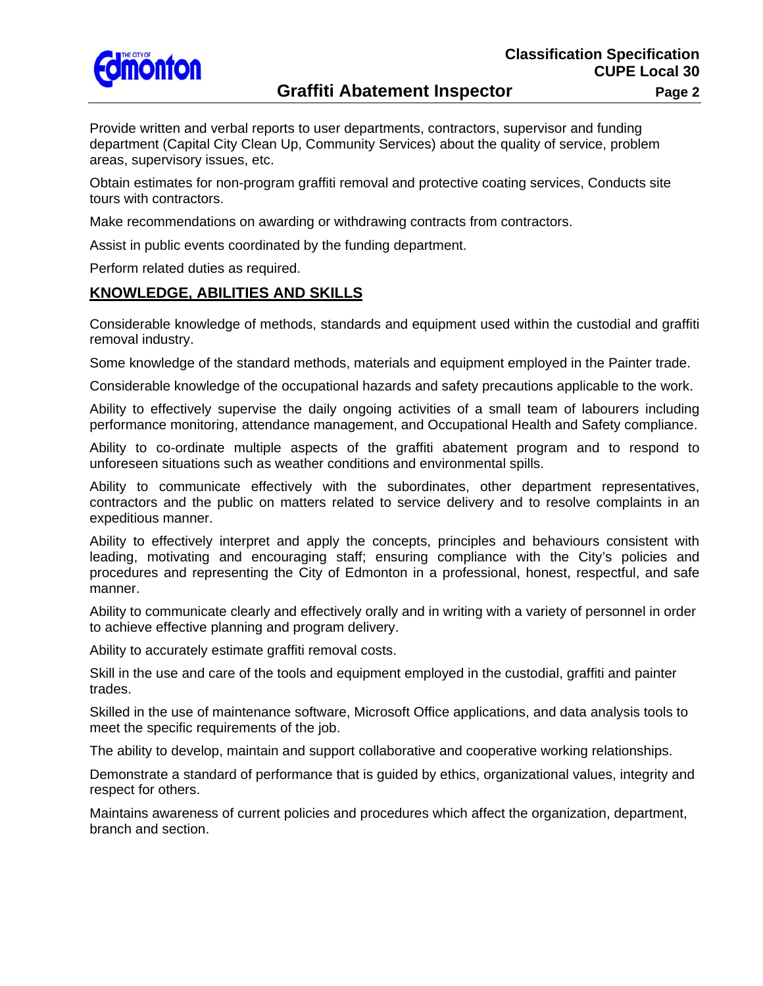

# **Graffiti Abatement Inspector** Page 2

Provide written and verbal reports to user departments, contractors, supervisor and funding department (Capital City Clean Up, Community Services) about the quality of service, problem areas, supervisory issues, etc.

Obtain estimates for non-program graffiti removal and protective coating services, Conducts site tours with contractors.

Make recommendations on awarding or withdrawing contracts from contractors.

Assist in public events coordinated by the funding department.

Perform related duties as required.

## **KNOWLEDGE, ABILITIES AND SKILLS**

Considerable knowledge of methods, standards and equipment used within the custodial and graffiti removal industry.

Some knowledge of the standard methods, materials and equipment employed in the Painter trade.

Considerable knowledge of the occupational hazards and safety precautions applicable to the work.

Ability to effectively supervise the daily ongoing activities of a small team of labourers including performance monitoring, attendance management, and Occupational Health and Safety compliance.

Ability to co-ordinate multiple aspects of the graffiti abatement program and to respond to unforeseen situations such as weather conditions and environmental spills.

Ability to communicate effectively with the subordinates, other department representatives, contractors and the public on matters related to service delivery and to resolve complaints in an expeditious manner.

Ability to effectively interpret and apply the concepts, principles and behaviours consistent with leading, motivating and encouraging staff; ensuring compliance with the City's policies and procedures and representing the City of Edmonton in a professional, honest, respectful, and safe manner.

Ability to communicate clearly and effectively orally and in writing with a variety of personnel in order to achieve effective planning and program delivery.

Ability to accurately estimate graffiti removal costs.

Skill in the use and care of the tools and equipment employed in the custodial, graffiti and painter trades.

Skilled in the use of maintenance software, Microsoft Office applications, and data analysis tools to meet the specific requirements of the job.

The ability to develop, maintain and support collaborative and cooperative working relationships.

Demonstrate a standard of performance that is guided by ethics, organizational values, integrity and respect for others.

Maintains awareness of current policies and procedures which affect the organization, department, branch and section.